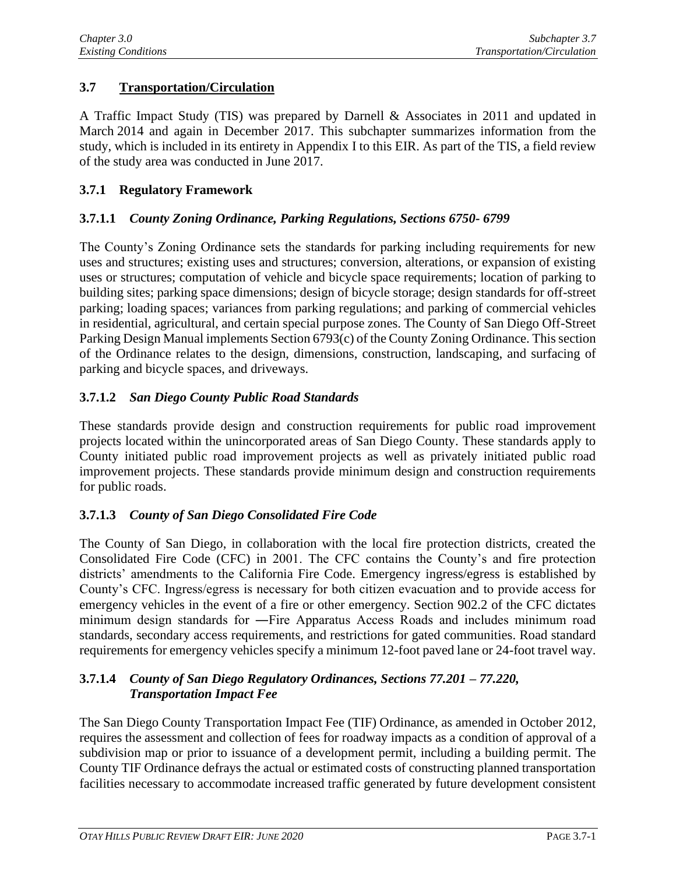# **3.7 Transportation/Circulation**

A Traffic Impact Study (TIS) was prepared by Darnell & Associates in 2011 and updated in March 2014 and again in December 2017. This subchapter summarizes information from the study, which is included in its entirety in Appendix I to this EIR. As part of the TIS, a field review of the study area was conducted in June 2017.

#### **3.7.1 Regulatory Framework**

#### **3.7.1.1** *County Zoning Ordinance, Parking Regulations, Sections 6750- 6799*

The County's Zoning Ordinance sets the standards for parking including requirements for new uses and structures; existing uses and structures; conversion, alterations, or expansion of existing uses or structures; computation of vehicle and bicycle space requirements; location of parking to building sites; parking space dimensions; design of bicycle storage; design standards for off-street parking; loading spaces; variances from parking regulations; and parking of commercial vehicles in residential, agricultural, and certain special purpose zones. The County of San Diego Off-Street Parking Design Manual implements Section 6793(c) of the County Zoning Ordinance. This section of the Ordinance relates to the design, dimensions, construction, landscaping, and surfacing of parking and bicycle spaces, and driveways.

## **3.7.1.2** *San Diego County Public Road Standards*

These standards provide design and construction requirements for public road improvement projects located within the unincorporated areas of San Diego County. These standards apply to County initiated public road improvement projects as well as privately initiated public road improvement projects. These standards provide minimum design and construction requirements for public roads.

## **3.7.1.3** *County of San Diego Consolidated Fire Code*

The County of San Diego, in collaboration with the local fire protection districts, created the Consolidated Fire Code (CFC) in 2001. The CFC contains the County's and fire protection districts' amendments to the California Fire Code. Emergency ingress/egress is established by County's CFC. Ingress/egress is necessary for both citizen evacuation and to provide access for emergency vehicles in the event of a fire or other emergency. Section 902.2 of the CFC dictates minimum design standards for ―Fire Apparatus Access Roads and includes minimum road standards, secondary access requirements, and restrictions for gated communities. Road standard requirements for emergency vehicles specify a minimum 12-foot paved lane or 24-foot travel way.

# **3.7.1.4** *County of San Diego Regulatory Ordinances, Sections 77.201 – 77.220, Transportation Impact Fee*

The San Diego County Transportation Impact Fee (TIF) Ordinance, as amended in October 2012, requires the assessment and collection of fees for roadway impacts as a condition of approval of a subdivision map or prior to issuance of a development permit, including a building permit. The County TIF Ordinance defrays the actual or estimated costs of constructing planned transportation facilities necessary to accommodate increased traffic generated by future development consistent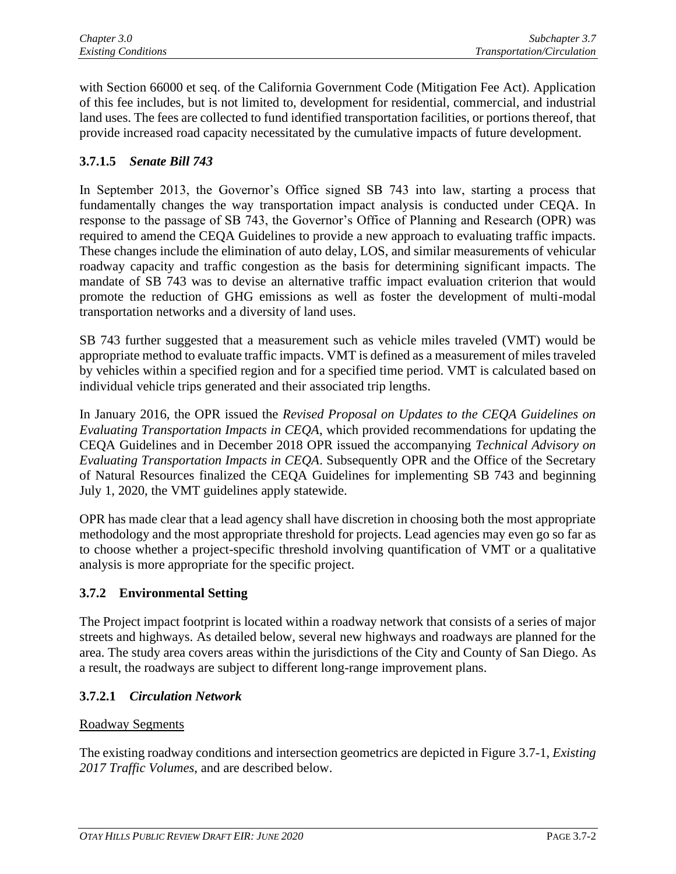with Section 66000 et seq. of the California Government Code (Mitigation Fee Act). Application of this fee includes, but is not limited to, development for residential, commercial, and industrial land uses. The fees are collected to fund identified transportation facilities, or portions thereof, that provide increased road capacity necessitated by the cumulative impacts of future development.

# **3.7.1.5** *Senate Bill 743*

In September 2013, the Governor's Office signed SB 743 into law, starting a process that fundamentally changes the way transportation impact analysis is conducted under CEQA. In response to the passage of SB 743, the Governor's Office of Planning and Research (OPR) was required to amend the CEQA Guidelines to provide a new approach to evaluating traffic impacts. These changes include the elimination of auto delay, LOS, and similar measurements of vehicular roadway capacity and traffic congestion as the basis for determining significant impacts. The mandate of SB 743 was to devise an alternative traffic impact evaluation criterion that would promote the reduction of GHG emissions as well as foster the development of multi-modal transportation networks and a diversity of land uses.

SB 743 further suggested that a measurement such as vehicle miles traveled (VMT) would be appropriate method to evaluate traffic impacts. VMT is defined as a measurement of miles traveled by vehicles within a specified region and for a specified time period. VMT is calculated based on individual vehicle trips generated and their associated trip lengths.

In January 2016, the OPR issued the *Revised Proposal on Updates to the CEQA Guidelines on Evaluating Transportation Impacts in CEQA*, which provided recommendations for updating the CEQA Guidelines and in December 2018 OPR issued the accompanying *Technical Advisory on Evaluating Transportation Impacts in CEQA*. Subsequently OPR and the Office of the Secretary of Natural Resources finalized the CEQA Guidelines for implementing SB 743 and beginning July 1, 2020, the VMT guidelines apply statewide.

OPR has made clear that a lead agency shall have discretion in choosing both the most appropriate methodology and the most appropriate threshold for projects. Lead agencies may even go so far as to choose whether a project-specific threshold involving quantification of VMT or a qualitative analysis is more appropriate for the specific project.

## **3.7.2 Environmental Setting**

The Project impact footprint is located within a roadway network that consists of a series of major streets and highways. As detailed below, several new highways and roadways are planned for the area. The study area covers areas within the jurisdictions of the City and County of San Diego. As a result, the roadways are subject to different long-range improvement plans.

## **3.7.2.1** *Circulation Network*

## Roadway Segments

The existing roadway conditions and intersection geometrics are depicted in Figure 3.7-1, *Existing 2017 Traffic Volumes*, and are described below.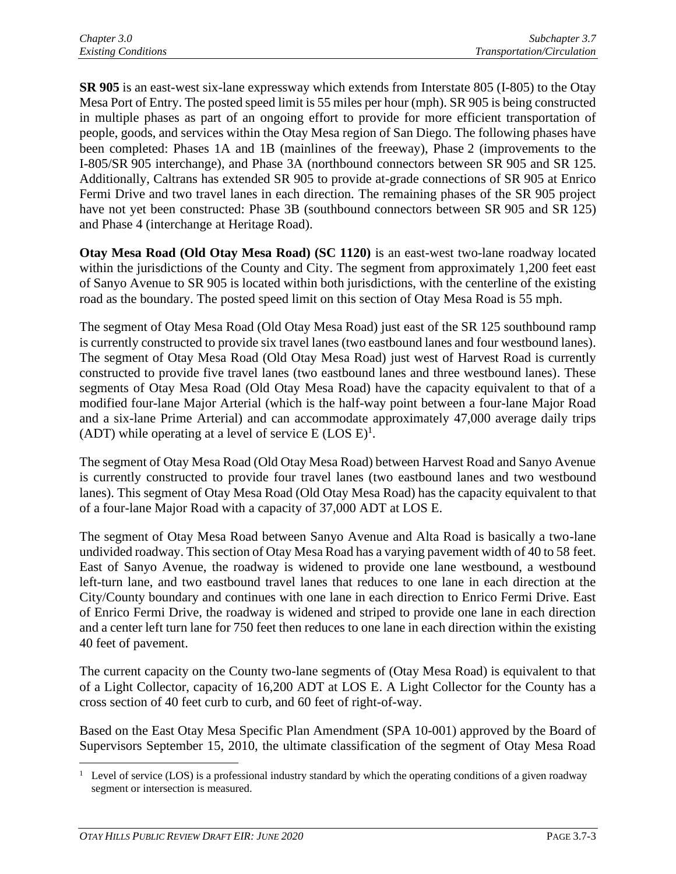**SR 905** is an east-west six-lane expressway which extends from Interstate 805 (I-805) to the Otay Mesa Port of Entry. The posted speed limit is 55 miles per hour (mph). SR 905 is being constructed in multiple phases as part of an ongoing effort to provide for more efficient transportation of people, goods, and services within the Otay Mesa region of San Diego. The following phases have been completed: Phases 1A and 1B (mainlines of the freeway), Phase 2 (improvements to the I-805/SR 905 interchange), and Phase 3A (northbound connectors between SR 905 and SR 125. Additionally, Caltrans has extended SR 905 to provide at-grade connections of SR 905 at Enrico Fermi Drive and two travel lanes in each direction. The remaining phases of the SR 905 project have not yet been constructed: Phase 3B (southbound connectors between SR 905 and SR 125) and Phase 4 (interchange at Heritage Road).

**Otay Mesa Road (Old Otay Mesa Road) (SC 1120)** is an east-west two-lane roadway located within the jurisdictions of the County and City. The segment from approximately 1,200 feet east of Sanyo Avenue to SR 905 is located within both jurisdictions, with the centerline of the existing road as the boundary. The posted speed limit on this section of Otay Mesa Road is 55 mph.

The segment of Otay Mesa Road (Old Otay Mesa Road) just east of the SR 125 southbound ramp is currently constructed to provide six travel lanes (two eastbound lanes and four westbound lanes). The segment of Otay Mesa Road (Old Otay Mesa Road) just west of Harvest Road is currently constructed to provide five travel lanes (two eastbound lanes and three westbound lanes). These segments of Otay Mesa Road (Old Otay Mesa Road) have the capacity equivalent to that of a modified four-lane Major Arterial (which is the half-way point between a four-lane Major Road and a six-lane Prime Arterial) and can accommodate approximately 47,000 average daily trips (ADT) while operating at a level of service  $E$  (LOS  $E$ )<sup>1</sup>.

The segment of Otay Mesa Road (Old Otay Mesa Road) between Harvest Road and Sanyo Avenue is currently constructed to provide four travel lanes (two eastbound lanes and two westbound lanes). This segment of Otay Mesa Road (Old Otay Mesa Road) has the capacity equivalent to that of a four-lane Major Road with a capacity of 37,000 ADT at LOS E.

The segment of Otay Mesa Road between Sanyo Avenue and Alta Road is basically a two-lane undivided roadway. This section of Otay Mesa Road has a varying pavement width of 40 to 58 feet. East of Sanyo Avenue, the roadway is widened to provide one lane westbound, a westbound left-turn lane, and two eastbound travel lanes that reduces to one lane in each direction at the City/County boundary and continues with one lane in each direction to Enrico Fermi Drive. East of Enrico Fermi Drive, the roadway is widened and striped to provide one lane in each direction and a center left turn lane for 750 feet then reduces to one lane in each direction within the existing 40 feet of pavement.

The current capacity on the County two-lane segments of (Otay Mesa Road) is equivalent to that of a Light Collector, capacity of 16,200 ADT at LOS E. A Light Collector for the County has a cross section of 40 feet curb to curb, and 60 feet of right-of-way.

Based on the East Otay Mesa Specific Plan Amendment (SPA 10-001) approved by the Board of Supervisors September 15, 2010, the ultimate classification of the segment of Otay Mesa Road

<sup>&</sup>lt;sup>1</sup> Level of service (LOS) is a professional industry standard by which the operating conditions of a given roadway segment or intersection is measured.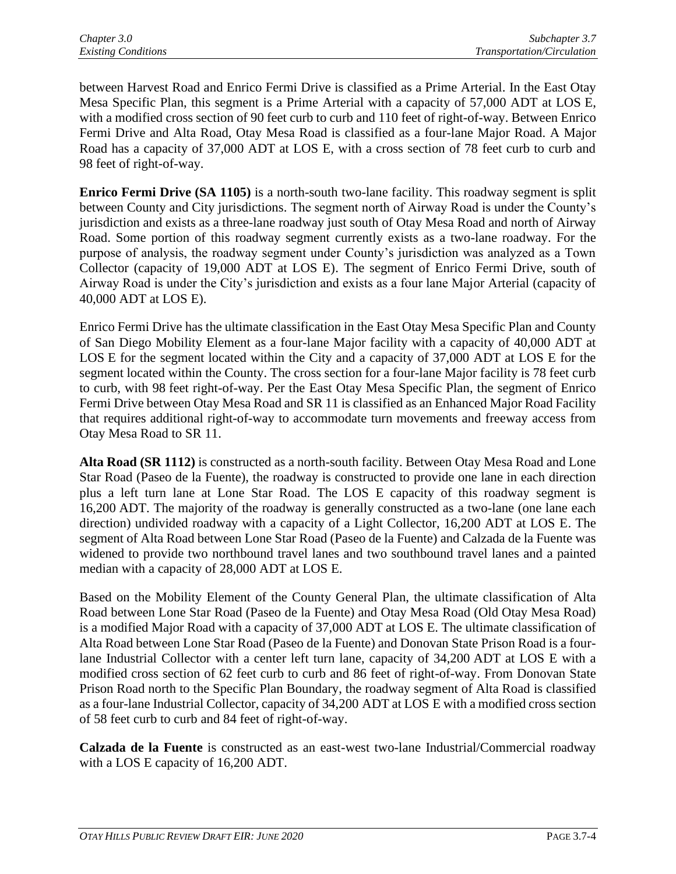between Harvest Road and Enrico Fermi Drive is classified as a Prime Arterial. In the East Otay Mesa Specific Plan, this segment is a Prime Arterial with a capacity of 57,000 ADT at LOS E, with a modified cross section of 90 feet curb to curb and 110 feet of right-of-way. Between Enrico Fermi Drive and Alta Road, Otay Mesa Road is classified as a four-lane Major Road. A Major Road has a capacity of 37,000 ADT at LOS E, with a cross section of 78 feet curb to curb and 98 feet of right-of-way.

**Enrico Fermi Drive (SA 1105)** is a north-south two-lane facility. This roadway segment is split between County and City jurisdictions. The segment north of Airway Road is under the County's jurisdiction and exists as a three-lane roadway just south of Otay Mesa Road and north of Airway Road. Some portion of this roadway segment currently exists as a two-lane roadway. For the purpose of analysis, the roadway segment under County's jurisdiction was analyzed as a Town Collector (capacity of 19,000 ADT at LOS E). The segment of Enrico Fermi Drive, south of Airway Road is under the City's jurisdiction and exists as a four lane Major Arterial (capacity of 40,000 ADT at LOS E).

Enrico Fermi Drive has the ultimate classification in the East Otay Mesa Specific Plan and County of San Diego Mobility Element as a four-lane Major facility with a capacity of 40,000 ADT at LOS E for the segment located within the City and a capacity of 37,000 ADT at LOS E for the segment located within the County. The cross section for a four-lane Major facility is 78 feet curb to curb, with 98 feet right-of-way. Per the East Otay Mesa Specific Plan, the segment of Enrico Fermi Drive between Otay Mesa Road and SR 11 is classified as an Enhanced Major Road Facility that requires additional right-of-way to accommodate turn movements and freeway access from Otay Mesa Road to SR 11.

**Alta Road (SR 1112)** is constructed as a north-south facility. Between Otay Mesa Road and Lone Star Road (Paseo de la Fuente), the roadway is constructed to provide one lane in each direction plus a left turn lane at Lone Star Road. The LOS E capacity of this roadway segment is 16,200 ADT. The majority of the roadway is generally constructed as a two-lane (one lane each direction) undivided roadway with a capacity of a Light Collector, 16,200 ADT at LOS E. The segment of Alta Road between Lone Star Road (Paseo de la Fuente) and Calzada de la Fuente was widened to provide two northbound travel lanes and two southbound travel lanes and a painted median with a capacity of 28,000 ADT at LOS E.

Based on the Mobility Element of the County General Plan, the ultimate classification of Alta Road between Lone Star Road (Paseo de la Fuente) and Otay Mesa Road (Old Otay Mesa Road) is a modified Major Road with a capacity of 37,000 ADT at LOS E. The ultimate classification of Alta Road between Lone Star Road (Paseo de la Fuente) and Donovan State Prison Road is a fourlane Industrial Collector with a center left turn lane, capacity of 34,200 ADT at LOS E with a modified cross section of 62 feet curb to curb and 86 feet of right-of-way. From Donovan State Prison Road north to the Specific Plan Boundary, the roadway segment of Alta Road is classified as a four-lane Industrial Collector, capacity of 34,200 ADT at LOS E with a modified cross section of 58 feet curb to curb and 84 feet of right-of-way.

**Calzada de la Fuente** is constructed as an east-west two-lane Industrial/Commercial roadway with a LOS E capacity of 16,200 ADT.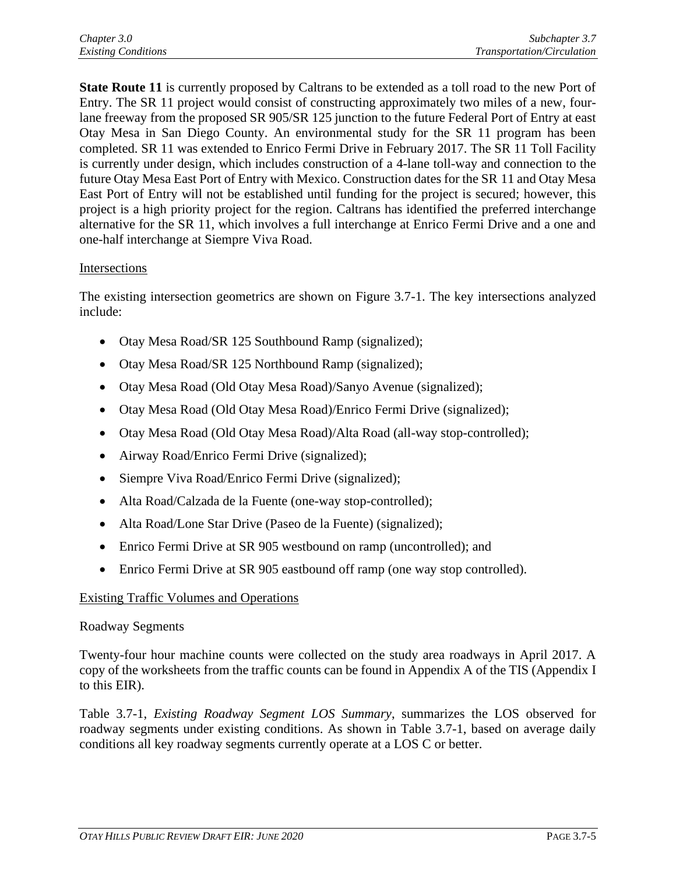**State Route 11** is currently proposed by Caltrans to be extended as a toll road to the new Port of Entry. The SR 11 project would consist of constructing approximately two miles of a new, fourlane freeway from the proposed SR 905/SR 125 junction to the future Federal Port of Entry at east Otay Mesa in San Diego County. An environmental study for the SR 11 program has been completed. SR 11 was extended to Enrico Fermi Drive in February 2017. The SR 11 Toll Facility is currently under design, which includes construction of a 4-lane toll-way and connection to the future Otay Mesa East Port of Entry with Mexico. Construction dates for the SR 11 and Otay Mesa East Port of Entry will not be established until funding for the project is secured; however, this project is a high priority project for the region. Caltrans has identified the preferred interchange alternative for the SR 11, which involves a full interchange at Enrico Fermi Drive and a one and one-half interchange at Siempre Viva Road.

#### Intersections

The existing intersection geometrics are shown on Figure 3.7-1. The key intersections analyzed include:

- Otay Mesa Road/SR 125 Southbound Ramp (signalized);
- Otay Mesa Road/SR 125 Northbound Ramp (signalized);
- Otay Mesa Road (Old Otay Mesa Road)/Sanyo Avenue (signalized);
- Otay Mesa Road (Old Otay Mesa Road)/Enrico Fermi Drive (signalized);
- Otay Mesa Road (Old Otay Mesa Road)/Alta Road (all-way stop-controlled);
- Airway Road/Enrico Fermi Drive (signalized);
- Siempre Viva Road/Enrico Fermi Drive (signalized);
- Alta Road/Calzada de la Fuente (one-way stop-controlled);
- Alta Road/Lone Star Drive (Paseo de la Fuente) (signalized);
- Enrico Fermi Drive at SR 905 westbound on ramp (uncontrolled); and
- Enrico Fermi Drive at SR 905 eastbound off ramp (one way stop controlled).

## Existing Traffic Volumes and Operations

#### Roadway Segments

Twenty-four hour machine counts were collected on the study area roadways in April 2017. A copy of the worksheets from the traffic counts can be found in Appendix A of the TIS (Appendix I to this EIR).

Table 3.7-1, *Existing Roadway Segment LOS Summary*, summarizes the LOS observed for roadway segments under existing conditions. As shown in Table 3.7-1, based on average daily conditions all key roadway segments currently operate at a LOS C or better.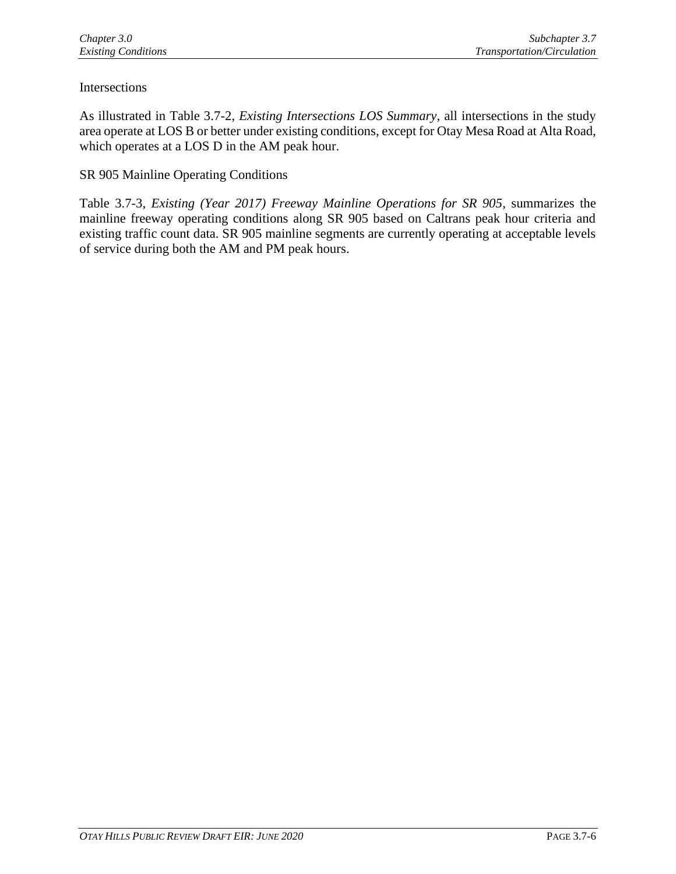## Intersections

As illustrated in Table 3.7-2, *Existing Intersections LOS Summary*, all intersections in the study area operate at LOS B or better under existing conditions, except for Otay Mesa Road at Alta Road, which operates at a LOS D in the AM peak hour.

#### SR 905 Mainline Operating Conditions

Table 3.7-3, *Existing (Year 2017) Freeway Mainline Operations for SR 905*, summarizes the mainline freeway operating conditions along SR 905 based on Caltrans peak hour criteria and existing traffic count data. SR 905 mainline segments are currently operating at acceptable levels of service during both the AM and PM peak hours.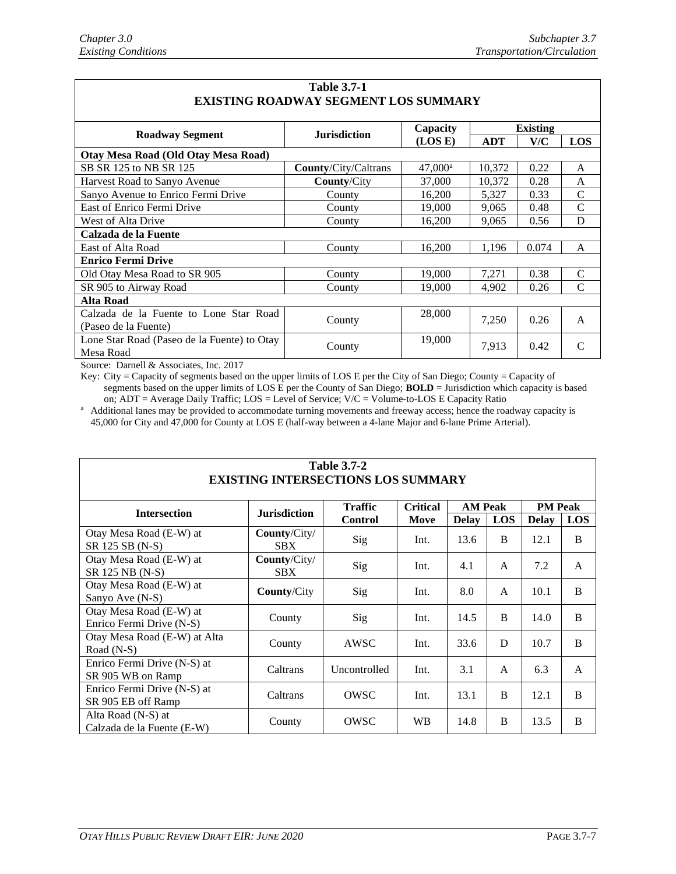$\mathsf{r}$ 

| <b>Table 3.7-1</b>                          |                             |                       |                 |       |               |  |  |  |  |
|---------------------------------------------|-----------------------------|-----------------------|-----------------|-------|---------------|--|--|--|--|
| <b>EXISTING ROADWAY SEGMENT LOS SUMMARY</b> |                             |                       |                 |       |               |  |  |  |  |
| <b>Roadway Segment</b>                      | <b>Jurisdiction</b>         | Capacity              | <b>Existing</b> |       |               |  |  |  |  |
|                                             |                             | (LOS E)               | <b>ADT</b>      | V/C   | <b>LOS</b>    |  |  |  |  |
| Otay Mesa Road (Old Otay Mesa Road)         |                             |                       |                 |       |               |  |  |  |  |
| SB SR 125 to NB SR 125                      | <b>County/City/Caltrans</b> | $47,000$ <sup>a</sup> | 10,372          | 0.22  | A             |  |  |  |  |
| Harvest Road to Sanyo Avenue                | <b>County/City</b>          | 37,000                | 10,372          | 0.28  | A             |  |  |  |  |
| Sanyo Avenue to Enrico Fermi Drive          | County                      | 16,200                | 5,327           | 0.33  | $\mathcal{C}$ |  |  |  |  |
| East of Enrico Fermi Drive                  | County                      | 19,000                | 9,065           | 0.48  | $\mathcal{C}$ |  |  |  |  |
| West of Alta Drive                          | County                      | 16,200                | 9.065           | 0.56  | D             |  |  |  |  |
| Calzada de la Fuente                        |                             |                       |                 |       |               |  |  |  |  |
| East of Alta Road                           | County                      | 16,200                | 1,196           | 0.074 | A             |  |  |  |  |
| <b>Enrico Fermi Drive</b>                   |                             |                       |                 |       |               |  |  |  |  |
| Old Otay Mesa Road to SR 905                | County                      | 19,000                | 7,271           | 0.38  | $\mathcal{C}$ |  |  |  |  |
| SR 905 to Airway Road                       | County                      | 19,000                | 4,902           | 0.26  | C             |  |  |  |  |
| <b>Alta Road</b>                            |                             |                       |                 |       |               |  |  |  |  |
| Calzada de la Fuente to Lone Star Road      |                             | 28,000                | 7,250           | 0.26  | A             |  |  |  |  |
| (Paseo de la Fuente)                        | County                      |                       |                 |       |               |  |  |  |  |
| Lone Star Road (Paseo de la Fuente) to Otay | County                      | 19,000                | 7,913           | 0.42  | $\mathcal{C}$ |  |  |  |  |
| Mesa Road                                   |                             |                       |                 |       |               |  |  |  |  |

Source: Darnell & Associates, Inc. 2017

Key: City = Capacity of segments based on the upper limits of LOS E per the City of San Diego; County = Capacity of segments based on the upper limits of LOS E per the County of San Diego; **BOLD** = Jurisdiction which capacity is based on; ADT = Average Daily Traffic; LOS = Level of Service; V/C = Volume-to-LOS E Capacity Ratio

<sup>a</sup> Additional lanes may be provided to accommodate turning movements and freeway access; hence the roadway capacity is 45,000 for City and 47,000 for County at LOS E (half-way between a 4-lane Major and 6-lane Prime Arterial).

| <b>Table 3.7-2</b><br><b>EXISTING INTERSECTIONS LOS SUMMARY</b> |                                   |                |                 |                |            |                |                |  |  |  |
|-----------------------------------------------------------------|-----------------------------------|----------------|-----------------|----------------|------------|----------------|----------------|--|--|--|
| <b>Intersection</b>                                             | <b>Jurisdiction</b>               | <b>Traffic</b> | <b>Critical</b> | <b>AM Peak</b> |            | <b>PM</b> Peak |                |  |  |  |
|                                                                 |                                   | <b>Control</b> | Move            | <b>Delay</b>   | <b>LOS</b> | <b>Delay</b>   | <b>LOS</b>     |  |  |  |
| Otay Mesa Road (E-W) at<br>SR 125 SB (N-S)                      | County/City/<br><b>SBX</b>        | Sig            | Int.            | 13.6           | B          | 12.1           | $\overline{B}$ |  |  |  |
| Otay Mesa Road (E-W) at<br>SR 125 NB (N-S)                      | <b>County/City/</b><br><b>SBX</b> | Sig            | Int.            | 4.1            | A          | 7.2            | A              |  |  |  |
| Otay Mesa Road (E-W) at<br>Sanyo Ave (N-S)                      | <b>County/City</b>                | Sig            | Int.            | 8.0            | A          | 10.1           | $\overline{B}$ |  |  |  |
| Otay Mesa Road (E-W) at<br>Enrico Fermi Drive (N-S)             | County                            | Sig            | Int.            | 14.5           | B          | 14.0           | B              |  |  |  |
| Otay Mesa Road (E-W) at Alta<br>Road $(N-S)$                    | County                            | AWSC           | Int.            | 33.6           | D          | 10.7           | <sub>B</sub>   |  |  |  |
| Enrico Fermi Drive (N-S) at<br>SR 905 WB on Ramp                | Caltrans                          | Uncontrolled   | Int.            | 3.1            | A          | 6.3            | A              |  |  |  |
| Enrico Fermi Drive (N-S) at<br>SR 905 EB off Ramp               | Caltrans                          | OWSC           | Int.            | 13.1           | B          | 12.1           | B              |  |  |  |
| Alta Road (N-S) at<br>Calzada de la Fuente (E-W)                | County                            | OWSC           | <b>WB</b>       | 14.8           | B          | 13.5           | B              |  |  |  |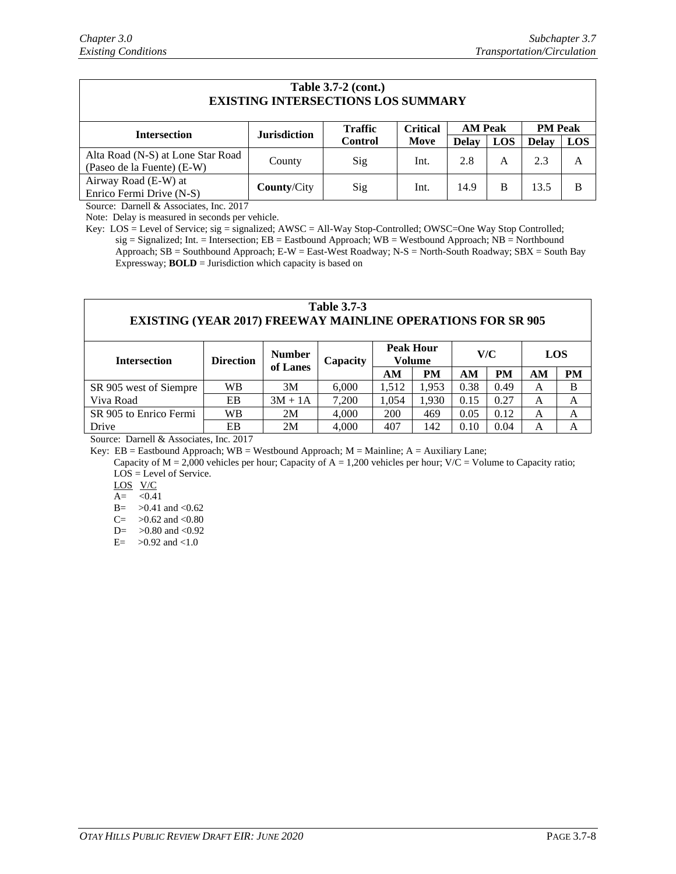| <b>Table 3.7-2 (cont.)</b><br><b>EXISTING INTERSECTIONS LOS SUMMARY</b> |                     |                |                 |                |            |                |            |  |  |  |
|-------------------------------------------------------------------------|---------------------|----------------|-----------------|----------------|------------|----------------|------------|--|--|--|
| <b>Intersection</b>                                                     | <b>Jurisdiction</b> | <b>Traffic</b> | <b>Critical</b> | <b>AM Peak</b> |            | <b>PM</b> Peak |            |  |  |  |
|                                                                         |                     | <b>Control</b> | Move            | <b>Delay</b>   | <b>LOS</b> | <b>Delay</b>   | <b>LOS</b> |  |  |  |
| Alta Road (N-S) at Lone Star Road                                       | County              | Sig            | Int.            | 2.8            | A          | 2.3            | A          |  |  |  |
| (Paseo de la Fuente) (E-W)                                              |                     |                |                 |                |            |                |            |  |  |  |
| Airway Road (E-W) at                                                    | <b>County/City</b>  | Sig            | Int.            | 14.9           | B          | 13.5           | B          |  |  |  |
| Enrico Fermi Drive (N-S)                                                |                     |                |                 |                |            |                |            |  |  |  |

Source: Darnell & Associates, Inc. 2017

Note: Delay is measured in seconds per vehicle.

Key: LOS = Level of Service; sig = signalized; AWSC = All-Way Stop-Controlled; OWSC=One Way Stop Controlled; sig = Signalized; Int. = Intersection; EB = Eastbound Approach; WB = Westbound Approach; NB = Northbound Approach; SB = Southbound Approach; E-W = East-West Roadway; N-S = North-South Roadway; SBX = South Bay Expressway; **BOLD** = Jurisdiction which capacity is based on

#### **Table 3.7-3 EXISTING (YEAR 2017) FREEWAY MAINLINE OPERATIONS FOR SR 905**

| <b>Intersection</b>    | <b>Direction</b> | <b>Number</b><br>of Lanes | Capacity | <b>Peak Hour</b><br>Volume |           | V/C  |      | LOS |    |
|------------------------|------------------|---------------------------|----------|----------------------------|-----------|------|------|-----|----|
|                        |                  |                           |          | AΜ                         | <b>PM</b> | AM   | PM   | AМ  | PM |
| SR 905 west of Siempre | WВ               | 3M                        | 6.000    | 1,512                      | 1.953     | 0.38 | 0.49 | A   | B  |
| Viva Road              | EB               | $3M + 1A$                 | 7.200    | 1.054                      | 1.930     | 0.15 | 0.27 | A   | A  |
| SR 905 to Enrico Fermi | WВ               | 2M                        | 4.000    | 200                        | 469       | 0.05 | 0.12 | A   | А  |
| Drive                  | EB               | 2M                        | 4,000    | 407                        | 142       | 0.10 | 0.04 | A   | А  |

Source: Darnell & Associates, Inc. 2017

Key:  $EB = Eastbound Approach; WB = Westbound Approach; M = Mainline; A = Auxiliary Lane;$ 

Capacity of  $M = 2,000$  vehicles per hour; Capacity of  $A = 1,200$  vehicles per hour; V/C = Volume to Capacity ratio; LOS = Level of Service.

LOS V/C

 $A = \langle 0.41$ 

B=  $>0.41$  and <0.62

C=  $>0.62$  and <0.80

 $D = \geq 0.80$  and  $\leq 0.92$ 

 $E=-50.92$  and  $<1.0$